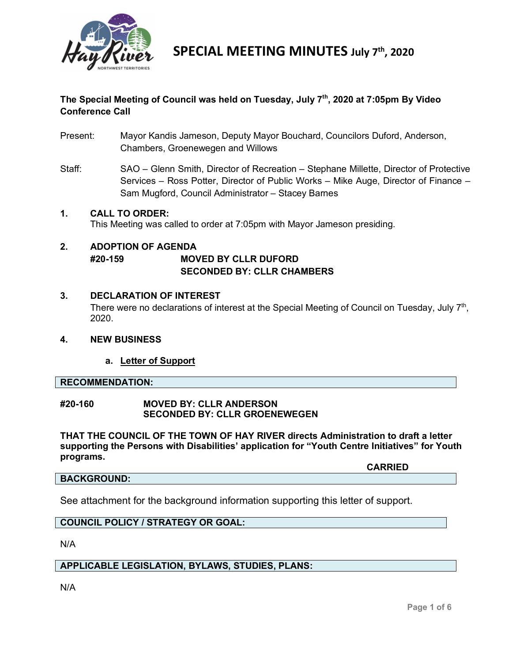

#### **The Special Meeting of Council was held on Tuesday, July 7th, 2020 at 7:05pm By Video Conference Call**

- Present: Mayor Kandis Jameson, Deputy Mayor Bouchard, Councilors Duford, Anderson, Chambers, Groenewegen and Willows
- Staff: SAO Glenn Smith, Director of Recreation Stephane Millette, Director of Protective Services – Ross Potter, Director of Public Works – Mike Auge, Director of Finance – Sam Mugford, Council Administrator – Stacey Barnes

### **1. CALL TO ORDER:**

This Meeting was called to order at 7:05pm with Mayor Jameson presiding.

### **2. ADOPTION OF AGENDA #20-159 MOVED BY CLLR DUFORD**

#### **SECONDED BY: CLLR CHAMBERS**

#### **3. DECLARATION OF INTEREST**

There were no declarations of interest at the Special Meeting of Council on Tuesday, July 7<sup>th</sup>, 2020.

#### **4. NEW BUSINESS**

#### **a. Letter of Support**

#### **RECOMMENDATION:**

#### **#20-160 MOVED BY: CLLR ANDERSON SECONDED BY: CLLR GROENEWEGEN**

**THAT THE COUNCIL OF THE TOWN OF HAY RIVER directs Administration to draft a letter supporting the Persons with Disabilities' application for "Youth Centre Initiatives" for Youth programs.**

#### **BACKGROUND:**

**CARRIED**

See attachment for the background information supporting this letter of support.

#### **COUNCIL POLICY / STRATEGY OR GOAL:**

N/A

#### **APPLICABLE LEGISLATION, BYLAWS, STUDIES, PLANS:**

N/A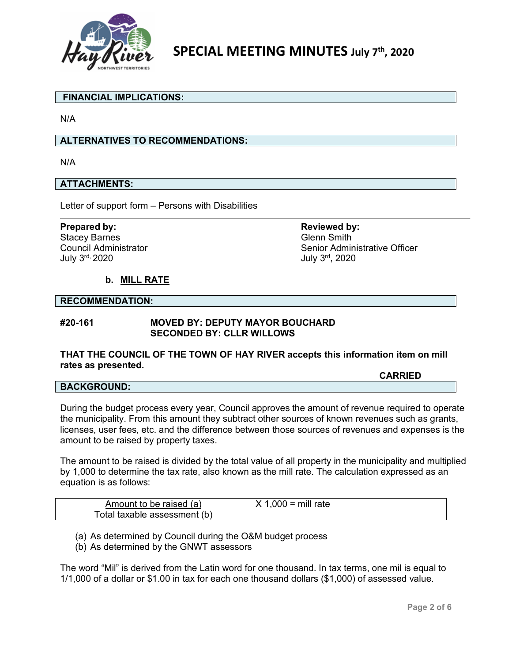

#### **FINANCIAL IMPLICATIONS:**

N/A

#### **ALTERNATIVES TO RECOMMENDATIONS:**

N/A

#### **ATTACHMENTS:**

Letter of support form – Persons with Disabilities

Stacey Barnes<br>
Council Administrator<br>
Council Administrator<br>
Council Administrator Council Administrator Council Administrator Senior Administrative Officer<br>
July 3<sup>rd,</sup> 2020

**Prepared by: Reviewed by: Reviewed by: Reviewed by:** July 3rd, 2020

#### **b. MILL RATE**

#### **RECOMMENDATION:**

#### **#20-161 MOVED BY: DEPUTY MAYOR BOUCHARD SECONDED BY: CLLR WILLOWS**

#### **THAT THE COUNCIL OF THE TOWN OF HAY RIVER accepts this information item on mill rates as presented.**

**CARRIED**

#### **BACKGROUND:**

During the budget process every year, Council approves the amount of revenue required to operate the municipality. From this amount they subtract other sources of known revenues such as grants, licenses, user fees, etc. and the difference between those sources of revenues and expenses is the amount to be raised by property taxes.

The amount to be raised is divided by the total value of all property in the municipality and multiplied by 1,000 to determine the tax rate, also known as the mill rate. The calculation expressed as an equation is as follows:

| Amount to be raised (a)      | $X$ 1,000 = mill rate |  |
|------------------------------|-----------------------|--|
| Total taxable assessment (b) |                       |  |

(a) As determined by Council during the O&M budget process

(b) As determined by the GNWT assessors

The word "Mil" is derived from the Latin word for one thousand. In tax terms, one mil is equal to 1/1,000 of a dollar or \$1.00 in tax for each one thousand dollars (\$1,000) of assessed value.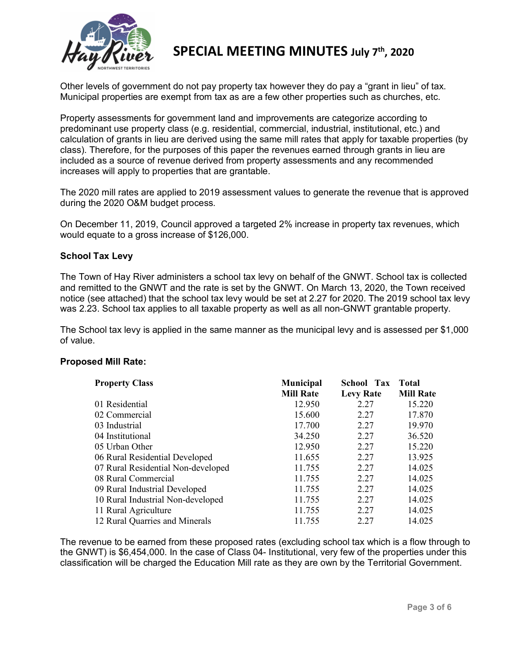

Other levels of government do not pay property tax however they do pay a "grant in lieu" of tax. Municipal properties are exempt from tax as are a few other properties such as churches, etc.

Property assessments for government land and improvements are categorize according to predominant use property class (e.g. residential, commercial, industrial, institutional, etc.) and calculation of grants in lieu are derived using the same mill rates that apply for taxable properties (by class). Therefore, for the purposes of this paper the revenues earned through grants in lieu are included as a source of revenue derived from property assessments and any recommended increases will apply to properties that are grantable.

The 2020 mill rates are applied to 2019 assessment values to generate the revenue that is approved during the 2020 O&M budget process.

On December 11, 2019, Council approved a targeted 2% increase in property tax revenues, which would equate to a gross increase of \$126,000.

#### **School Tax Levy**

The Town of Hay River administers a school tax levy on behalf of the GNWT. School tax is collected and remitted to the GNWT and the rate is set by the GNWT. On March 13, 2020, the Town received notice (see attached) that the school tax levy would be set at 2.27 for 2020. The 2019 school tax levy was 2.23. School tax applies to all taxable property as well as all non-GNWT grantable property.

The School tax levy is applied in the same manner as the municipal levy and is assessed per \$1,000 of value.

#### **Proposed Mill Rate:**

| <b>Property Class</b>              | <b>Municipal</b> | School Tax       | <b>Total</b>     |
|------------------------------------|------------------|------------------|------------------|
|                                    | <b>Mill Rate</b> | <b>Levy Rate</b> | <b>Mill Rate</b> |
| 01 Residential                     | 12.950           | 2.27             | 15.220           |
| 02 Commercial                      | 15.600           | 2.27             | 17.870           |
| 03 Industrial                      | 17.700           | 2.27             | 19.970           |
| 04 Institutional                   | 34.250           | 2.27             | 36.520           |
| 05 Urban Other                     | 12.950           | 2.27             | 15.220           |
| 06 Rural Residential Developed     | 11.655           | 2.27             | 13.925           |
| 07 Rural Residential Non-developed | 11.755           | 2.27             | 14.025           |
| 08 Rural Commercial                | 11.755           | 2.27             | 14.025           |
| 09 Rural Industrial Developed      | 11.755           | 2.27             | 14.025           |
| 10 Rural Industrial Non-developed  | 11.755           | 2.27             | 14.025           |
| 11 Rural Agriculture               | 11.755           | 2.27             | 14.025           |
| 12 Rural Quarries and Minerals     | 11.755           | 2.27             | 14.025           |

The revenue to be earned from these proposed rates (excluding school tax which is a flow through to the GNWT) is \$6,454,000. In the case of Class 04- Institutional, very few of the properties under this classification will be charged the Education Mill rate as they are own by the Territorial Government.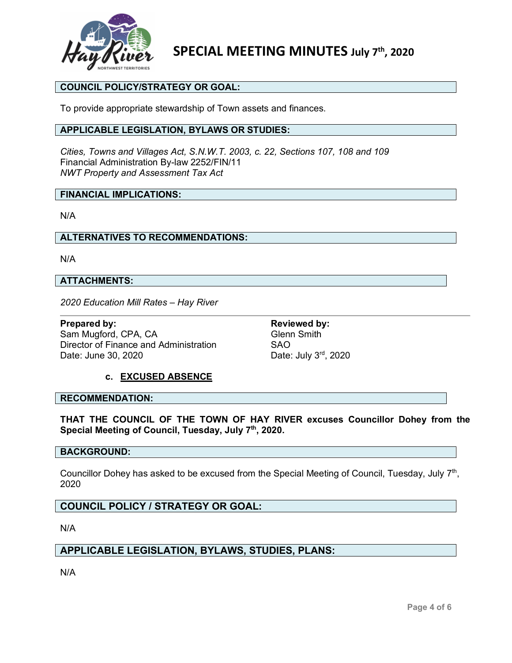

#### **COUNCIL POLICY/STRATEGY OR GOAL:**

To provide appropriate stewardship of Town assets and finances.

#### **APPLICABLE LEGISLATION, BYLAWS OR STUDIES:**

*Cities, Towns and Villages Act, S.N.W.T. 2003, c. 22, Sections 107, 108 and 109* Financial Administration By-law 2252/FIN/11 *NWT Property and Assessment Tax Act*

#### **FINANCIAL IMPLICATIONS:**

N/A

#### **ALTERNATIVES TO RECOMMENDATIONS:**

N/A

#### **ATTACHMENTS:**

*2020 Education Mill Rates – Hay River*

**Prepared by: Reviewed by: Reviewed by: Reviewed by: Reviewed by: Reviewed by: Reviewed by: Reviewed by: Reviewed by: Reviewed by: Reviewed by: Reviewed by: Reviewed by: Reviewed by: Reviewed by** Sam Mugford, CPA, CA Director of Finance and Administration SAO Date: June 30, 2020 Date: July 3<sup>rd</sup>, 2020

#### **c. EXCUSED ABSENCE**

#### **RECOMMENDATION:**

**THAT THE COUNCIL OF THE TOWN OF HAY RIVER excuses Councillor Dohey from the Special Meeting of Council, Tuesday, July 7th, 2020.**

#### **BACKGROUND:**

Councillor Dohey has asked to be excused from the Special Meeting of Council, Tuesday, July 7<sup>th</sup>, 2020

#### **COUNCIL POLICY / STRATEGY OR GOAL:**

N/A

#### **APPLICABLE LEGISLATION, BYLAWS, STUDIES, PLANS:**

N/A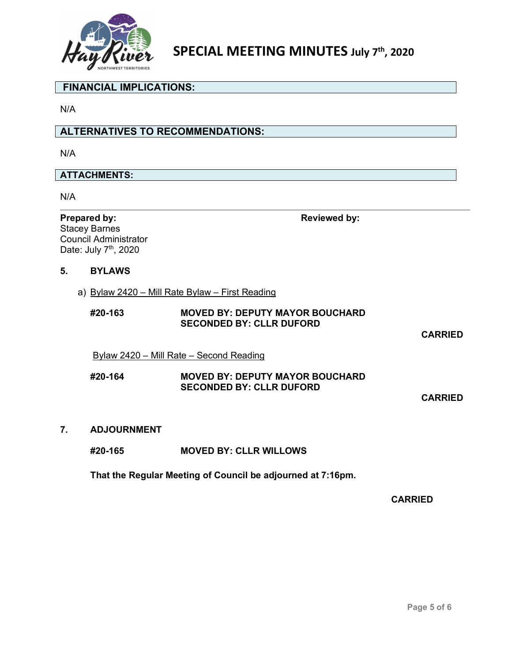

#### **FINANCIAL IMPLICATIONS:**

N/A

#### **ALTERNATIVES TO RECOMMENDATIONS:**

N/A

#### **ATTACHMENTS:**

N/A

**Prepared by: Reviewed** by: Stacey Barnes Council Administrator Date: July 7<sup>th</sup>, 2020

#### **5. BYLAWS**

a) Bylaw 2420 – Mill Rate Bylaw – First Reading

#### **#20-163 MOVED BY: DEPUTY MAYOR BOUCHARD SECONDED BY: CLLR DUFORD**

**CARRIED**

Bylaw 2420 – Mill Rate – Second Reading

#### **#20-164 MOVED BY: DEPUTY MAYOR BOUCHARD SECONDED BY: CLLR DUFORD**

**CARRIED**

**7. ADJOURNMENT** 

#### **#20-165 MOVED BY: CLLR WILLOWS**

**That the Regular Meeting of Council be adjourned at 7:16pm.**

**CARRIED**